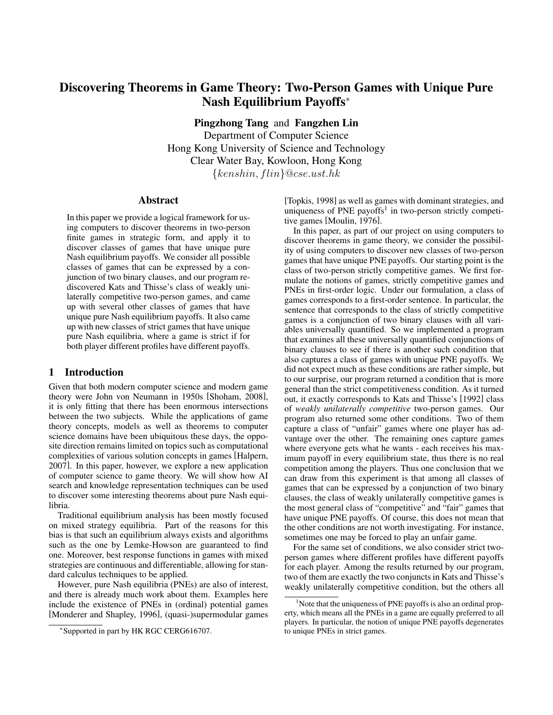# Discovering Theorems in Game Theory: Two-Person Games with Unique Pure Nash Equilibrium Payoffs<sup>∗</sup>

Pingzhong Tang and Fangzhen Lin

Department of Computer Science Hong Kong University of Science and Technology Clear Water Bay, Kowloon, Hong Kong  ${kenshin, film}$ @cse.ust.hk

#### Abstract

In this paper we provide a logical framework for using computers to discover theorems in two-person finite games in strategic form, and apply it to discover classes of games that have unique pure Nash equilibrium payoffs. We consider all possible classes of games that can be expressed by a conjunction of two binary clauses, and our program rediscovered Kats and Thisse's class of weakly unilaterally competitive two-person games, and came up with several other classes of games that have unique pure Nash equilibrium payoffs. It also came up with new classes of strict games that have unique pure Nash equilibria, where a game is strict if for both player different profiles have different payoffs.

# 1 Introduction

Given that both modern computer science and modern game theory were John von Neumann in 1950s [Shoham, 2008], it is only fitting that there has been enormous intersections between the two subjects. While the applications of game theory concepts, models as well as theorems to computer science domains have been ubiquitous these days, the opposite direction remains limited on topics such as computational complexities of various solution concepts in games [Halpern, 2007]. In this paper, however, we explore a new application of computer science to game theory. We will show how AI search and knowledge representation techniques can be used to discover some interesting theorems about pure Nash equilibria.

Traditional equilibrium analysis has been mostly focused on mixed strategy equilibria. Part of the reasons for this bias is that such an equilibrium always exists and algorithms such as the one by Lemke-Howson are guaranteed to find one. Moreover, best response functions in games with mixed strategies are continuous and differentiable, allowing for standard calculus techniques to be applied.

However, pure Nash equilibria (PNEs) are also of interest, and there is already much work about them. Examples here include the existence of PNEs in (ordinal) potential games [Monderer and Shapley, 1996], (quasi-)supermodular games [Topkis, 1998] as well as games with dominant strategies, and uniqueness of PNE payoffs<sup>1</sup> in two-person strictly competitive games [Moulin, 1976].

In this paper, as part of our project on using computers to discover theorems in game theory, we consider the possibility of using computers to discover new classes of two-person games that have unique PNE payoffs. Our starting point is the class of two-person strictly competitive games. We first formulate the notions of games, strictly competitive games and PNEs in first-order logic. Under our formulation, a class of games corresponds to a first-order sentence. In particular, the sentence that corresponds to the class of strictly competitive games is a conjunction of two binary clauses with all variables universally quantified. So we implemented a program that examines all these universally quantified conjunctions of binary clauses to see if there is another such condition that also captures a class of games with unique PNE payoffs. We did not expect much as these conditions are rather simple, but to our surprise, our program returned a condition that is more general than the strict competitiveness condition. As it turned out, it exactly corresponds to Kats and Thisse's [1992] class of *weakly unilaterally competitive* two-person games. Our program also returned some other conditions. Two of them capture a class of "unfair" games where one player has advantage over the other. The remaining ones capture games where everyone gets what he wants - each receives his maximum payoff in every equilibrium state, thus there is no real competition among the players. Thus one conclusion that we can draw from this experiment is that among all classes of games that can be expressed by a conjunction of two binary clauses, the class of weakly unilaterally competitive games is the most general class of "competitive" and "fair" games that have unique PNE payoffs. Of course, this does not mean that the other conditions are not worth investigating. For instance, sometimes one may be forced to play an unfair game.

For the same set of conditions, we also consider strict twoperson games where different profiles have different payoffs for each player. Among the results returned by our program, two of them are exactly the two conjuncts in Kats and Thisse's weakly unilaterally competitive condition, but the others all

<sup>∗</sup> Supported in part by HK RGC CERG616707.

<sup>&</sup>lt;sup>1</sup>Note that the uniqueness of PNE payoffs is also an ordinal property, which means all the PNEs in a game are equally preferred to all players. In particular, the notion of unique PNE payoffs degenerates to unique PNEs in strict games.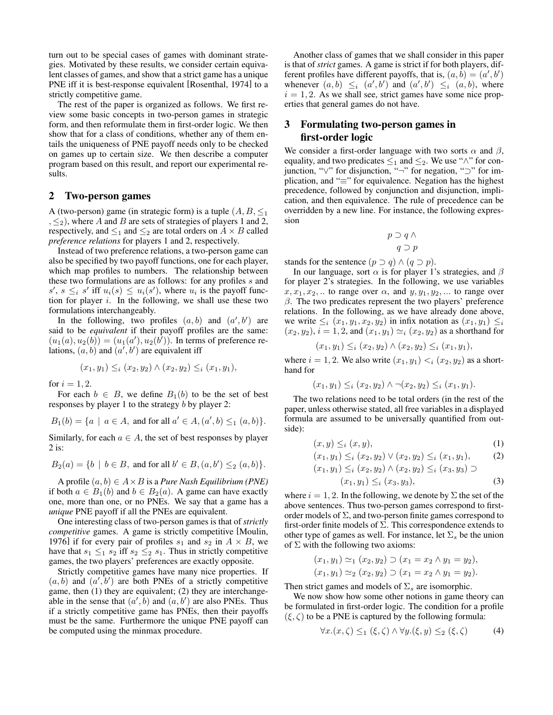turn out to be special cases of games with dominant strategies. Motivated by these results, we consider certain equivalent classes of games, and show that a strict game has a unique PNE iff it is best-response equivalent [Rosenthal, 1974] to a strictly competitive game.

The rest of the paper is organized as follows. We first review some basic concepts in two-person games in strategic form, and then reformulate them in first-order logic. We then show that for a class of conditions, whether any of them entails the uniqueness of PNE payoff needs only to be checked on games up to certain size. We then describe a computer program based on this result, and report our experimental results.

#### 2 Two-person games

A (two-person) game (in strategic form) is a tuple  $(A, B, \leq_1)$  $, \leq_2$ ), where A and B are sets of strategies of players 1 and 2, respectively, and  $\leq_1$  and  $\leq_2$  are total orders on  $A \times B$  called *preference relations* for players 1 and 2, respectively.

Instead of two preference relations, a two-person game can also be specified by two payoff functions, one for each player, which map profiles to numbers. The relationship between these two formulations are as follows: for any profiles s and  $s'$ ,  $s \leq i$  s' iff  $u_i(s) \leq u_i(s')$ , where  $u_i$  is the payoff function for player  $i$ . In the following, we shall use these two formulations interchangeably.

In the following, two profiles  $(a, b)$  and  $(a', b')$  are said to be *equivalent* if their payoff profiles are the same:  $(u_1(a), u_2(b)) = (u_1(a'), u_2(b')).$  In terms of preference relations,  $(a, b)$  and  $(a', b')$  are equivalent iff

$$
(x_1, y_1) \leq_i (x_2, y_2) \land (x_2, y_2) \leq_i (x_1, y_1),
$$

for  $i = 1, 2$ .

For each  $b \in B$ , we define  $B_1(b)$  to be the set of best responses by player 1 to the strategy b by player 2:

 $B_1(b) = \{a \mid a \in A$ , and for all  $a' \in A$ ,  $(a', b) \leq_1 (a, b)\}.$ 

Similarly, for each  $a \in A$ , the set of best responses by player 2 is:

$$
B_2(a) = \{b \mid b \in B, \text{ and for all } b' \in B, (a, b') \leq_2 (a, b)\}.
$$

A profile (a, b) ∈ A×B is a *Pure Nash Equilibrium (PNE)* if both  $a \in B_1(b)$  and  $b \in B_2(a)$ . A game can have exactly one, more than one, or no PNEs. We say that a game has a *unique* PNE payoff if all the PNEs are equivalent.

One interesting class of two-person games is that of *strictly competitive* games. A game is strictly competitive [Moulin, 1976] if for every pair of profiles  $s_1$  and  $s_2$  in  $A \times B$ , we have that  $s_1 \leq_1 s_2$  iff  $s_2 \leq_2 s_1$ . Thus in strictly competitive games, the two players' preferences are exactly opposite.

Strictly competitive games have many nice properties. If  $(a, b)$  and  $(a', b')$  are both PNEs of a strictly competitive game, then (1) they are equivalent; (2) they are interchangeable in the sense that  $(a', b)$  and  $(a, b')$  are also PNEs. Thus if a strictly competitive game has PNEs, then their payoffs must be the same. Furthermore the unique PNE payoff can be computed using the minmax procedure.

Another class of games that we shall consider in this paper is that of *strict* games. A game is strict if for both players, different profiles have different payoffs, that is,  $(a, \hat{b}) = (a', b')$ whenever  $(a, b) \leq i (a', b')$  and  $(a', b') \leq i (a, b)$ , where  $i = 1, 2$ . As we shall see, strict games have some nice properties that general games do not have.

# 3 Formulating two-person games in first-order logic

We consider a first-order language with two sorts  $\alpha$  and  $\beta$ , equality, and two predicates  $\leq_1$  and  $\leq_2$ . We use " $\wedge$ " for conjunction, "∨" for disjunction, "¬" for negation, "⊃" for implication, and "≡" for equivalence. Negation has the highest precedence, followed by conjunction and disjunction, implication, and then equivalence. The rule of precedence can be overridden by a new line. For instance, the following expression

$$
p \supset q \wedge
$$
  
 
$$
q \supset p
$$

stands for the sentence  $(p \supset q) \wedge (q \supset p)$ .

In our language, sort  $\alpha$  is for player 1's strategies, and  $\beta$ for player 2's strategies. In the following, we use variables  $x, x_1, x_2, \ldots$  to range over  $\alpha$ , and  $y, y_1, y_2, \ldots$  to range over  $\beta$ . The two predicates represent the two players' preference relations. In the following, as we have already done above, we write  $\leq_i (x_1, y_1, x_2, y_2)$  in infix notation as  $(x_1, y_1) \leq_i$  $(x_2, y_2), i = 1, 2$ , and  $(x_1, y_1) \simeq_i (x_2, y_2)$  as a shorthand for

$$
(x_1, y_1) \leq_i (x_2, y_2) \land (x_2, y_2) \leq_i (x_1, y_1),
$$

where  $i = 1, 2$ . We also write  $(x_1, y_1) \leq i (x_2, y_2)$  as a shorthand for

$$
(x_1, y_1) \leq_i (x_2, y_2) \land \neg(x_2, y_2) \leq_i (x_1, y_1).
$$

The two relations need to be total orders (in the rest of the paper, unless otherwise stated, all free variables in a displayed formula are assumed to be universally quantified from outside):

$$
(x,y) \leq_i (x,y), \tag{1}
$$

$$
(x_1, y_1) \leq_i (x_2, y_2) \vee (x_2, y_2) \leq_i (x_1, y_1), \quad (2)
$$

$$
(x_1, y_1) \leq_i (x_2, y_2) \land (x_2, y_2) \leq_i (x_3, y_3) \supset
$$

$$
(x_1, y_1) \leq_i (x_3, y_3), \tag{3}
$$

where  $i = 1, 2$ . In the following, we denote by  $\Sigma$  the set of the above sentences. Thus two-person games correspond to firstorder models of  $\Sigma$ , and two-person finite games correspond to first-order finite models of  $\Sigma$ . This correspondence extends to other type of games as well. For instance, let  $\Sigma_s$  be the union of  $\Sigma$  with the following two axioms:

$$
(x_1, y_1) \simeq_1 (x_2, y_2) \supset (x_1 = x_2 \wedge y_1 = y_2),
$$
  
\n $(x_1, y_1) \simeq_2 (x_2, y_2) \supset (x_1 = x_2 \wedge y_1 = y_2).$ 

Then strict games and models of  $\Sigma_s$  are isomorphic.

We now show how some other notions in game theory can be formulated in first-order logic. The condition for a profile  $(\xi, \zeta)$  to be a PNE is captured by the following formula:

$$
\forall x. (x, \zeta) \leq_1 (\xi, \zeta) \land \forall y. (\xi, y) \leq_2 (\xi, \zeta)
$$
 (4)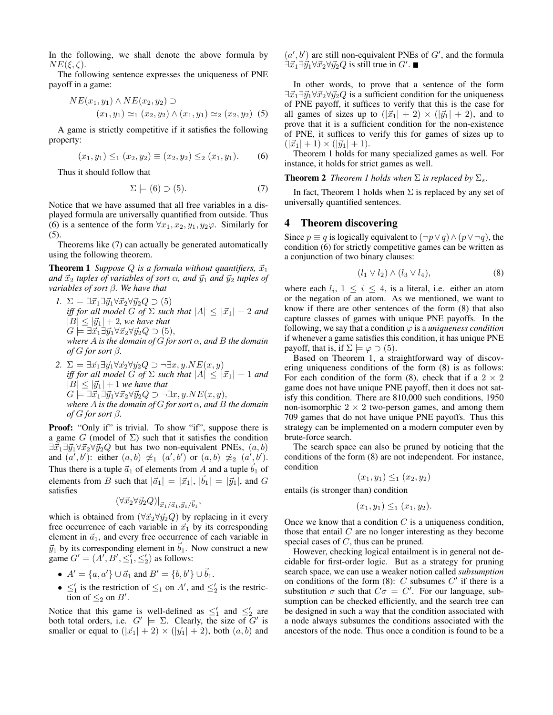In the following, we shall denote the above formula by  $NE(\xi, \zeta).$ 

The following sentence expresses the uniqueness of PNE payoff in a game:

$$
NE(x_1, y_1) \land NE(x_2, y_2) \supset
$$
  
(x<sub>1</sub>, y<sub>1</sub>)  $\simeq_1 (x_2, y_2) \land (x_1, y_1) \simeq_2 (x_2, y_2)$  (5)

A game is strictly competitive if it satisfies the following property:

$$
(x_1, y_1) \leq_1 (x_2, y_2) \equiv (x_2, y_2) \leq_2 (x_1, y_1). \tag{6}
$$

Thus it should follow that

$$
\Sigma \models (6) \supset (5). \tag{7}
$$

Notice that we have assumed that all free variables in a displayed formula are universally quantified from outside. Thus (6) is a sentence of the form  $\forall x_1, x_2, y_1, y_2\varphi$ . Similarly for (5).

Theorems like (7) can actually be generated automatically using the following theorem.

**Theorem 1** *Suppose*  $Q$  *is a formula without quantifiers,*  $\vec{x}_1$ *and*  $\vec{x}_2$  *tuples of variables of sort*  $\alpha$ *, and*  $\vec{y}_1$  *and*  $\vec{y}_2$  *tuples of variables of sort* β*. We have that*

- *1.*  $\Sigma \models \exists \vec{x}_1 \exists \vec{y}_1 \forall \vec{x}_2 \forall \vec{y}_2 Q \supset (5)$ *iff for all model G of*  $\Sigma$  *such that*  $|A| \leq |\vec{x}_1| + 2$  *and*  $|B| \leq |\vec{y}_1| + 2$ *, we have that*  $G \models \exists \vec{x}_1 \exists \vec{y}_1 \forall \vec{x}_2 \forall \vec{y}_2 Q \supset (5),$ *where A is the domain of G for sort*  $\alpha$ *, and B the domain of*  $G$  *for sort*  $\beta$ *.*
- 2.  $\Sigma \models \exists \vec{x_1} \exists \vec{y_1} \forall \vec{x_2} \forall \vec{y_2} Q \supset \neg \exists x, y \ldotp NE(x, y)$ *iff for all model* G of  $\Sigma$  *such that*  $|A| \leq |\vec{x}_1| + 1$  *and*  $|B| \leq |\vec{y}_1| + 1$  *we have that*  $G \models \exists \vec{x}_1 \exists \vec{y}_1 \forall \vec{x}_2 \forall \vec{y}_2 Q \supset \neg \exists x, y.NE(x, y),$ *where* A *is the domain of* G *for sort* α*, and* B *the domain of*  $G$  *for sort*  $\beta$ *.*

Proof: "Only if" is trivial. To show "if", suppose there is a game G (model of  $\Sigma$ ) such that it satisfies the condition  $\exists \vec{x}_1 \exists \vec{y}_1 \forall \vec{x}_2 \forall \vec{y}_2 Q$  but has two non-equivalent PNEs,  $(a, b)$ and  $(a',b')$ : either  $(a,b) \not\approx_1 (a',b')$  or  $(a,b) \not\approx_2 (a',b')$ . Thus there is a tuple  $\vec{a}_1$  of elements from A and a tuple  $\vec{b}_1$  of elements from B such that  $|\vec{a}_1| = |\vec{x}_1|, |\vec{b}_1| = |\vec{y}_1|$ , and G satisfies

$$
(\forall \vec{x}_2 \forall \vec{y}_2 Q)|_{\vec{x}_1/\vec{a}_1, \vec{y}_1/\vec{b}_1},
$$

which is obtained from  $(\forall \vec{x}_2 \forall \vec{y}_2 Q)$  by replacing in it every free occurrence of each variable in  $\vec{x}_1$  by its corresponding element in  $\vec{a}_1$ , and every free occurrence of each variable in  $\vec{y}_1$  by its corresponding element in  $\vec{b}_1$ . Now construct a new game  $G' = (A', B', \leq_1', \leq_2')$  as follows:

- $A' = \{a, a'\} \cup \vec{a}_1$  and  $B' = \{b, b'\} \cup \vec{b}_1$ .
- $\leq'_1$  is the restriction of  $\leq_1$  on A', and  $\leq'_2$  is the restriction of  $\leq_2$  on  $B'$ .

Notice that this game is well-defined as  $\leq_1'$  and  $\leq_2'$  are both total orders, i.e.  $G' \models \Sigma$ . Clearly, the size of  $G'$  is smaller or equal to  $(|\vec{x}_1| + 2) \times (|\vec{y}_1| + 2)$ , both  $(a, b)$  and  $(a', b')$  are still non-equivalent PNEs of  $G'$ , and the formula  $\exists \vec{x}_1 \exists \vec{y}_1 \forall \vec{x}_2 \forall \vec{y}_2 Q$  is still true in  $G'$ .

In other words, to prove that a sentence of the form  $\exists \vec{x}_1 \exists \vec{y}_1 \forall \vec{x}_2 \forall \vec{y}_2 Q$  is a sufficient condition for the uniqueness of PNE payoff, it suffices to verify that this is the case for all games of sizes up to  $(|\vec{x}_1| + 2) \times (|\vec{y}_1| + 2)$ , and to prove that it is a sufficient condition for the non-existence of PNE, it suffices to verify this for games of sizes up to  $(|\vec{x}_1| + 1) \times (|\vec{y}_1| + 1).$ 

Theorem 1 holds for many specialized games as well. For instance, it holds for strict games as well.

**Theorem 2** *Theorem 1 holds when*  $\Sigma$  *is replaced by*  $\Sigma_s$ *.* 

In fact, Theorem 1 holds when  $\Sigma$  is replaced by any set of universally quantified sentences.

# 4 Theorem discovering

Since  $p \equiv q$  is logically equivalent to  $(\neg p \lor q) \land (p \lor \neg q)$ , the condition (6) for strictly competitive games can be written as a conjunction of two binary clauses:

$$
(l_1 \vee l_2) \wedge (l_3 \vee l_4), \tag{8}
$$

where each  $l_i$ ,  $1 \leq i \leq 4$ , is a literal, i.e. either an atom or the negation of an atom. As we mentioned, we want to know if there are other sentences of the form (8) that also capture classes of games with unique PNE payoffs. In the following, we say that a condition  $\varphi$  is a *uniqueness condition* if whenever a game satisfies this condition, it has unique PNE payoff, that is, if  $\Sigma \models \varphi \supset (5)$ .

Based on Theorem 1, a straightforward way of discovering uniqueness conditions of the form (8) is as follows: For each condition of the form (8), check that if a  $2 \times 2$ game does not have unique PNE payoff, then it does not satisfy this condition. There are 810,000 such conditions, 1950 non-isomorphic  $2 \times 2$  two-person games, and among them 709 games that do not have unique PNE payoffs. Thus this strategy can be implemented on a modern computer even by brute-force search.

The search space can also be pruned by noticing that the conditions of the form (8) are not independent. For instance, condition

$$
(x_1, y_1) \leq_1 (x_2, y_2)
$$

entails (is stronger than) condition

$$
(x_1, y_1) \leq_1 (x_1, y_2).
$$

Once we know that a condition  $C$  is a uniqueness condition, those that entail  $C$  are no longer interesting as they become special cases of  $C$ , thus can be pruned.

However, checking logical entailment is in general not decidable for first-order logic. But as a strategy for pruning search space, we can use a weaker notion called *subsumption* on conditions of the form (8): C subsumes  $C'$  if there is a substitution  $\sigma$  such that  $C\sigma = C'$ . For our language, subsumption can be checked efficiently, and the search tree can be designed in such a way that the condition associated with a node always subsumes the conditions associated with the ancestors of the node. Thus once a condition is found to be a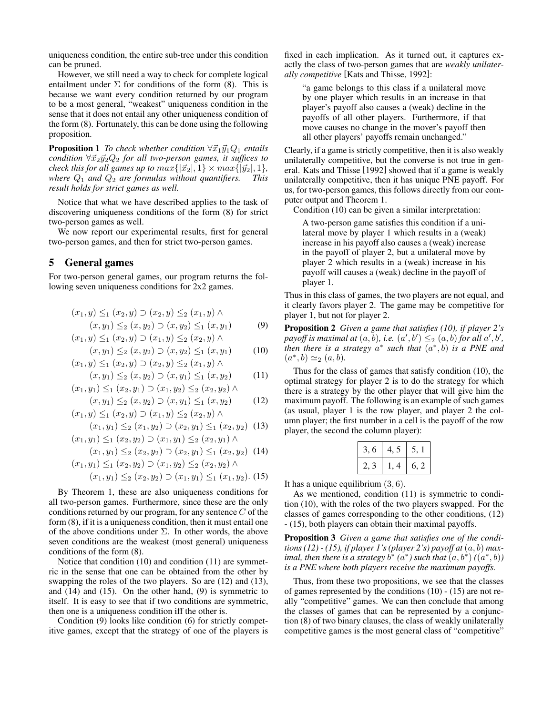uniqueness condition, the entire sub-tree under this condition can be pruned.

However, we still need a way to check for complete logical entailment under  $\Sigma$  for conditions of the form (8). This is because we want every condition returned by our program to be a most general, "weakest" uniqueness condition in the sense that it does not entail any other uniqueness condition of the form (8). Fortunately, this can be done using the following proposition.

**Proposition 1** *To check whether condition*  $\forall \vec{x}_1 \vec{y}_1 Q_1$  *entails condition*  $\forall \vec{x}_2 \vec{y}_2 Q_2$  *for all two-person games, it suffices to check this for all games up to*  $max\{|\vec{x}_2|, 1\} \times max\{|\vec{y}_2|, 1\}$ *, where*  $Q_1$  *and*  $Q_2$  *are formulas without quantifiers. This result holds for strict games as well.*

Notice that what we have described applies to the task of discovering uniqueness conditions of the form (8) for strict two-person games as well.

We now report our experimental results, first for general two-person games, and then for strict two-person games.

#### 5 General games

For two-person general games, our program returns the following seven uniqueness conditions for 2x2 games.

$$
(x_1, y) \leq_1 (x_2, y) \supset (x_2, y) \leq_2 (x_1, y) \land (x, y_1) \leq_2 (x, y_2) \supset (x, y_2) \leq_1 (x, y_1)
$$
 (9)

$$
(x_1, y) \leq_1 (x_2, y) \supset (x_1, y) \leq_2 (x_2, y) \land (x, y_1) \leq_2 (x, y_2) \supset (x, y_2) \leq_1 (x, y_1)
$$
 (10)

$$
(x, y_1) \leq 2 \ (x, y_2) \cup (x, y_2) \leq 1 \ (x, y_1) \tag{10}
$$
  

$$
(x_1, y) \leq_1 (x_2, y) \supset (x_2, y) \leq_2 (x_1, y) \land
$$

$$
(x, y_1) \leq_2 (x, y_2) \supset (x, y_1) \leq_1 (x, y_2) \tag{11}
$$

$$
(x_1, y_1) \leq_1 (x_2, y_1) \supset (x_1, y_2) \leq_2 (x_2, y_2) \wedge (x, y_1) \leq_2 (x, y_2) \supset (x, y_1) \leq_1 (x, y_2)
$$
 (12)

$$
(x_1, y) \leq_1 (x_2, y) \supset (x_1, y) \leq_2 (x_2, y) \land (x_1, y_1) \leq_2 (x_1, y_2) \supset (x_2, y_1) \leq_1 (x_2, y_2)
$$
 (13)

$$
(x_1, y_1) \leq_1 (x_2, y_2) \supset (x_1, y_1) \leq_2 (x_2, y_1) \wedge
$$

$$
(x_1, y_1) \leq_2 (x_2, y_2) \supset (x_2, y_1) \leq_1 (x_2, y_2) \tag{14}
$$

$$
(x_1, y_1) \leq_1 (x_2, y_2) \supset (x_1, y_2) \leq_2 (x_2, y_2) \land (x_1, y_1) \leq_2 (x_2, y_2) \supset (x_1, y_1) \leq_1 (x_1, y_2).
$$
 (15)

By Theorem 1, these are also uniqueness conditions for all two-person games. Furthermore, since these are the only conditions returned by our program, for any sentence  $C$  of the form (8), if it is a uniqueness condition, then it must entail one of the above conditions under  $\Sigma$ . In other words, the above seven conditions are the weakest (most general) uniqueness conditions of the form (8).

Notice that condition (10) and condition (11) are symmetric in the sense that one can be obtained from the other by swapping the roles of the two players. So are (12) and (13), and  $(14)$  and  $(15)$ . On the other hand,  $(9)$  is symmetric to itself. It is easy to see that if two conditions are symmetric, then one is a uniqueness condition iff the other is.

Condition (9) looks like condition (6) for strictly competitive games, except that the strategy of one of the players is fixed in each implication. As it turned out, it captures exactly the class of two-person games that are *weakly unilaterally competitive* [Kats and Thisse, 1992]:

"a game belongs to this class if a unilateral move by one player which results in an increase in that player's payoff also causes a (weak) decline in the payoffs of all other players. Furthermore, if that move causes no change in the mover's payoff then all other players' payoffs remain unchanged."

Clearly, if a game is strictly competitive, then it is also weakly unilaterally competitive, but the converse is not true in general. Kats and Thisse [1992] showed that if a game is weakly unilaterally competitive, then it has unique PNE payoff. For us, for two-person games, this follows directly from our computer output and Theorem 1.

Condition (10) can be given a similar interpretation:

A two-person game satisfies this condition if a unilateral move by player 1 which results in a (weak) increase in his payoff also causes a (weak) increase in the payoff of player 2, but a unilateral move by player 2 which results in a (weak) increase in his payoff will causes a (weak) decline in the payoff of player 1.

Thus in this class of games, the two players are not equal, and it clearly favors player 2. The game may be competitive for player 1, but not for player 2.

Proposition 2 *Given a game that satisfies (10), if player 2's* payoff is maximal at  $(a, b)$ , i.e.  $(a', b') \leq_2 (a, b)$  for all  $a', b',$ *then there is a strategy*  $a^*$  *such that*  $(a^*,b)$  *is a PNE and*  $(a^*, b) \simeq_2 (a, b).$ 

Thus for the class of games that satisfy condition (10), the optimal strategy for player 2 is to do the strategy for which there is a strategy by the other player that will give him the maximum payoff. The following is an example of such games (as usual, player 1 is the row player, and player 2 the column player; the first number in a cell is the payoff of the row player, the second the column player):

| 6<br>C. |      |
|---------|------|
| -4      | 5. Z |

It has a unique equilibrium (3, 6).

As we mentioned, condition (11) is symmetric to condition (10), with the roles of the two players swapped. For the classes of games corresponding to the other conditions, (12) - (15), both players can obtain their maximal payoffs.

Proposition 3 *Given a game that satisfies one of the conditions (12) - (15), if player 1's (player 2's) payoff at* (a, b) *maximal, then there is a strategy*  $\overline{b}^*$  ( $\overline{a}^*$ ) such that  $(a, b^*)$  ( $(a^*, b)$ ) *is a PNE where both players receive the maximum payoffs.*

Thus, from these two propositions, we see that the classes of games represented by the conditions (10) - (15) are not really "competitive" games. We can then conclude that among the classes of games that can be represented by a conjunction (8) of two binary clauses, the class of weakly unilaterally competitive games is the most general class of "competitive"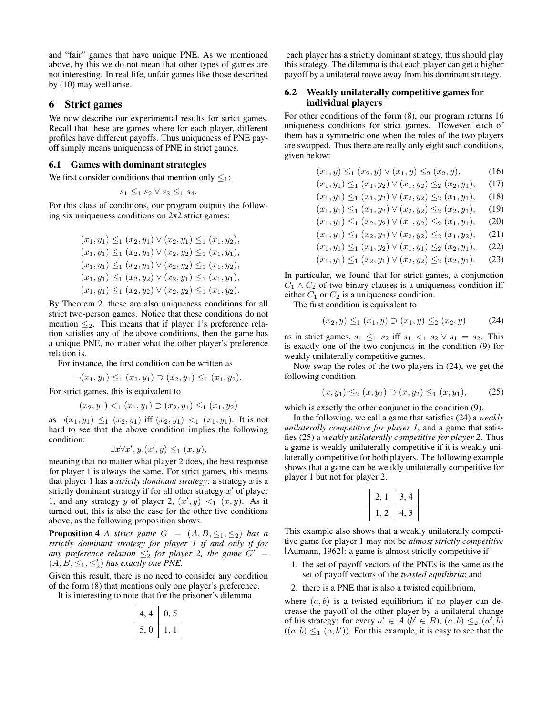and "fair" games that have unique PNE. As we mentioned above, by this we do not mean that other types of games are not interesting. In real life, unfair games like those described by (10) may well arise.

## 6 Strict games

We now describe our experimental results for strict games. Recall that these are games where for each player, different profiles have different payoffs. Thus uniqueness of PNE payoff simply means uniqueness of PNE in strict games.

#### 6.1 Games with dominant strategies

We first consider conditions that mention only  $\leq_1$ :

$$
s_1 \leq_1 s_2 \vee s_3 \leq_1 s_4.
$$

For this class of conditions, our program outputs the following six uniqueness conditions on 2x2 strict games:

$$
(x_1, y_1) \leq_1 (x_2, y_1) \vee (x_2, y_1) \leq_1 (x_1, y_2),
$$
  
\n
$$
(x_1, y_1) \leq_1 (x_2, y_1) \vee (x_2, y_2) \leq_1 (x_1, y_1),
$$
  
\n
$$
(x_1, y_1) \leq_1 (x_2, y_1) \vee (x_2, y_2) \leq_1 (x_1, y_2),
$$
  
\n
$$
(x_1, y_1) \leq_1 (x_2, y_2) \vee (x_2, y_1) \leq_1 (x_1, y_1),
$$
  
\n
$$
(x_1, y_1) \leq_1 (x_2, y_2) \vee (x_2, y_2) \leq_1 (x_1, y_2).
$$

By Theorem 2, these are also uniqueness conditions for all strict two-person games. Notice that these conditions do not mention  $\leq_2$ . This means that if player 1's preference relation satisfies any of the above conditions, then the game has a unique PNE, no matter what the other player's preference relation is.

For instance, the first condition can be written as

$$
\neg(x_1, y_1) \leq_1 (x_2, y_1) \supset (x_2, y_1) \leq_1 (x_1, y_2).
$$

For strict games, this is equivalent to

$$
(x_2, y_1) <_1 (x_1, y_1) \supset (x_2, y_1) \leq_1 (x_1, y_2)
$$

as  $\neg(x_1, y_1) \leq_1 (x_2, y_1)$  iff  $(x_2, y_1) <_1 (x_1, y_1)$ . It is not hard to see that the above condition implies the following condition:

$$
\exists x \forall x', y. (x', y) \leq_1 (x, y),
$$

meaning that no matter what player 2 does, the best response for player 1 is always the same. For strict games, this means that player 1 has a *strictly dominant strategy*: a strategy x is a strictly dominant strategy if for all other strategy  $x'$  of player 1, and any strategy y of player 2,  $(x', y) <_1 (x, y)$ . As it turned out, this is also the case for the other five conditions above, as the following proposition shows.

**Proposition 4** *A strict game*  $G = (A, B, \leq_1, \leq_2)$  *has a strictly dominant strategy for player 1 if and only if for any preference relation*  $\leq'_{2}$  *for player 2, the game*  $G'$  *=*  $(A, B, \leq_1, \leq_2')$  has exactly one PNE.

Given this result, there is no need to consider any condition of the form (8) that mentions only one player's preference.

It is interesting to note that for the prisoner's dilemma

| 4<br>4. | U. 5 |
|---------|------|
| I J     |      |

each player has a strictly dominant strategy, thus should play this strategy. The dilemma is that each player can get a higher payoff by a unilateral move away from his dominant strategy.

#### 6.2 Weakly unilaterally competitive games for individual players

For other conditions of the form (8), our program returns 16 uniqueness conditions for strict games. However, each of them has a symmetric one when the roles of the two players are swapped. Thus there are really only eight such conditions, given below:

$$
(x_1, y) \leq_1 (x_2, y) \vee (x_1, y) \leq_2 (x_2, y), \tag{16}
$$

$$
(x_1, y_1) \leq_1 (x_1, y_2) \vee (x_1, y_2) \leq_2 (x_2, y_1), \quad (17)
$$

$$
(x_1, y_1) \leq_1 (x_1, y_2) \vee (x_2, y_2) \leq_2 (x_1, y_1), \quad (18)
$$

$$
(x_1, y_1) \leq_1 (x_1, y_2) \vee (x_2, y_2) \leq_2 (x_2, y_1),
$$
  
\n
$$
(x_1, y_1) \leq_1 (x_2, y_2) \vee (x_1, y_2) \leq_2 (x_1, y_1)
$$
  
\n(20)

$$
(x_1, y_1) \leq_1 (x_2, y_2) \vee (x_1, y_2) \leq_2 (x_1, y_1), \quad (20)
$$
  

$$
(x_1, y_1) \leq_1 (x_2, y_2) \vee (x_2, y_2) \leq_2 (x_1, y_2) \quad (21)
$$

$$
(x_1, y_1) \leq (x_2, y_2) \vee (x_2, y_2) \leq (x_1, y_2), \quad (21)
$$
  

$$
(x_1, y_1) \leq (x_1, y_2) \vee (x_1, y_1) \leq (x_2, y_1) \quad (22)
$$

$$
(x_1, y_1) \leq_1 (x_1, y_2) \vee (x_1, y_1) \leq_2 (x_2, y_1),
$$
 (22)  
 $(x_1, y_1) \leq_1 (x_2, y_1) \vee (x_2, y_2) \leq_2 (x_2, y_1).$  (23)

In particular, we found that for strict games, a conjunction  $C_1 \wedge C_2$  of two binary clauses is a uniqueness condition iff either  $C_1$  or  $C_2$  is a uniqueness condition.

The first condition is equivalent to

$$
(x_2, y) \leq_1 (x_1, y) \supset (x_1, y) \leq_2 (x_2, y) \tag{24}
$$

as in strict games,  $s_1 \leq_1 s_2$  iff  $s_1 <_1 s_2 \vee s_1 = s_2$ . This is exactly one of the two conjuncts in the condition (9) for weakly unilaterally competitive games.

Now swap the roles of the two players in (24), we get the following condition

$$
(x, y_1) \leq_2 (x, y_2) \supset (x, y_2) \leq_1 (x, y_1), \quad (25)
$$

which is exactly the other conjunct in the condition  $(9)$ .

In the following, we call a game that satisfies (24) a *weakly unilaterally competitive for player 1*, and a game that satisfies (25) a *weakly unilaterally competitive for player 2*. Thus a game is weakly unilaterally competitive if it is weakly unilaterally competitive for both players. The following example shows that a game can be weakly unilaterally competitive for player 1 but not for player 2.

| , |  |
|---|--|
| , |  |

This example also shows that a weakly unilaterally competitive game for player 1 may not be *almost strictly competitive* [Aumann, 1962]: a game is almost strictly competitive if

- 1. the set of payoff vectors of the PNEs is the same as the set of payoff vectors of the *twisted equilibria*; and
- 2. there is a PNE that is also a twisted equilibrium,

where  $(a, b)$  is a twisted equilibrium if no player can decrease the payoff of the other player by a unilateral change of his strategy: for every  $a' \in A$   $(b' \in B)$ ,  $(a, b) \leq a'$ ,  $(b)$  $((a, b) \leq_1 (a, b'))$ . For this example, it is easy to see that the